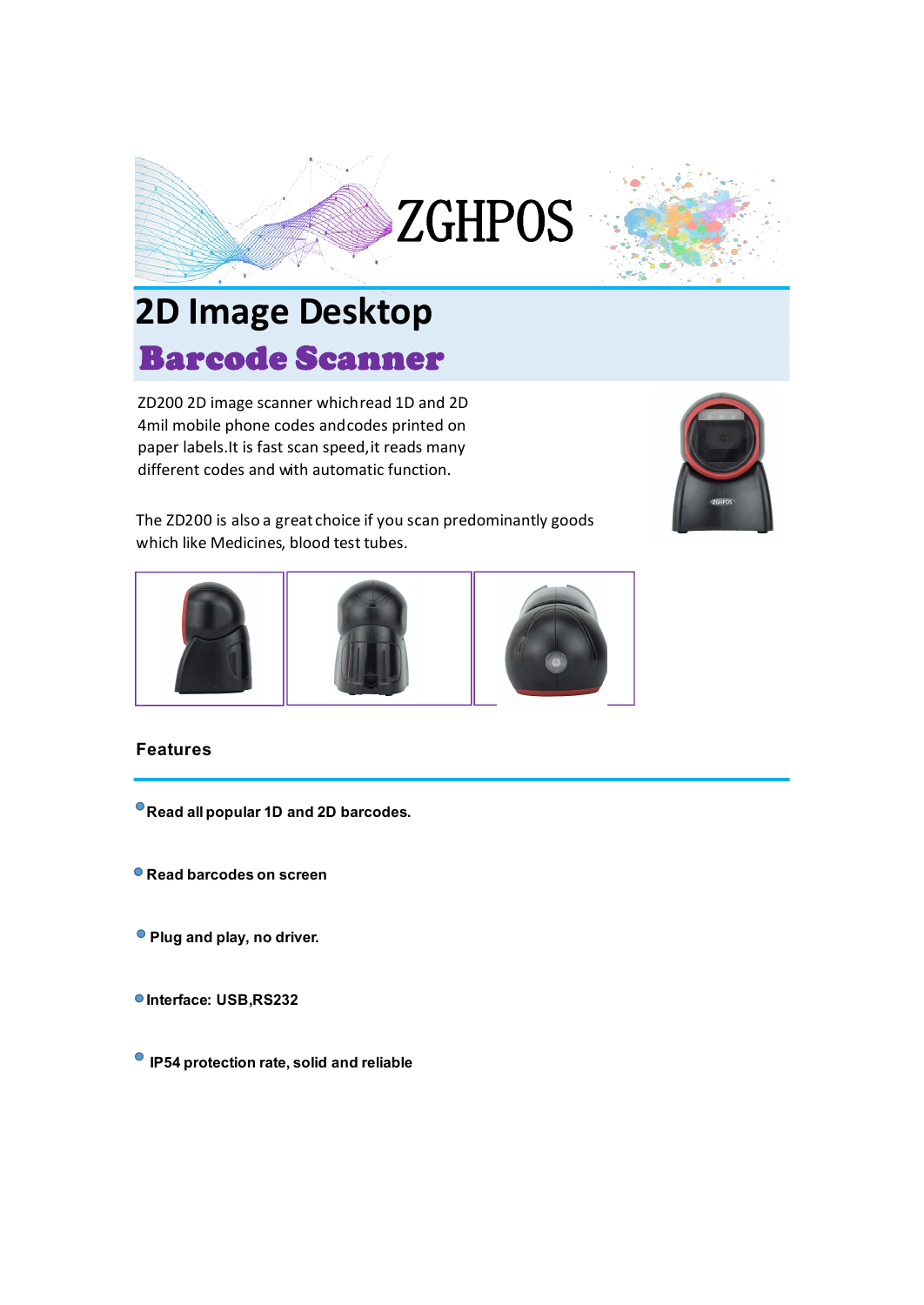



## Barcode Scanner **2D Image Desktop**

ZD200 2D image scanner whichread 1D and 2D 4mil mobile phone codes andcodes printed on paper labels.It is fast scan speed,it reads many different codes and with automatic function.



The ZD200 is also a great choice if you scan predominantly goods which like Medicines, blood test tubes.



## **Features**

**Read all popular1D and 2D barcodes.**

- **Read barcodes on screen**
- **Plug and play, no driver.**
- **Interface: USB,RS232**
- **IP54 protection rate, solid and reliable**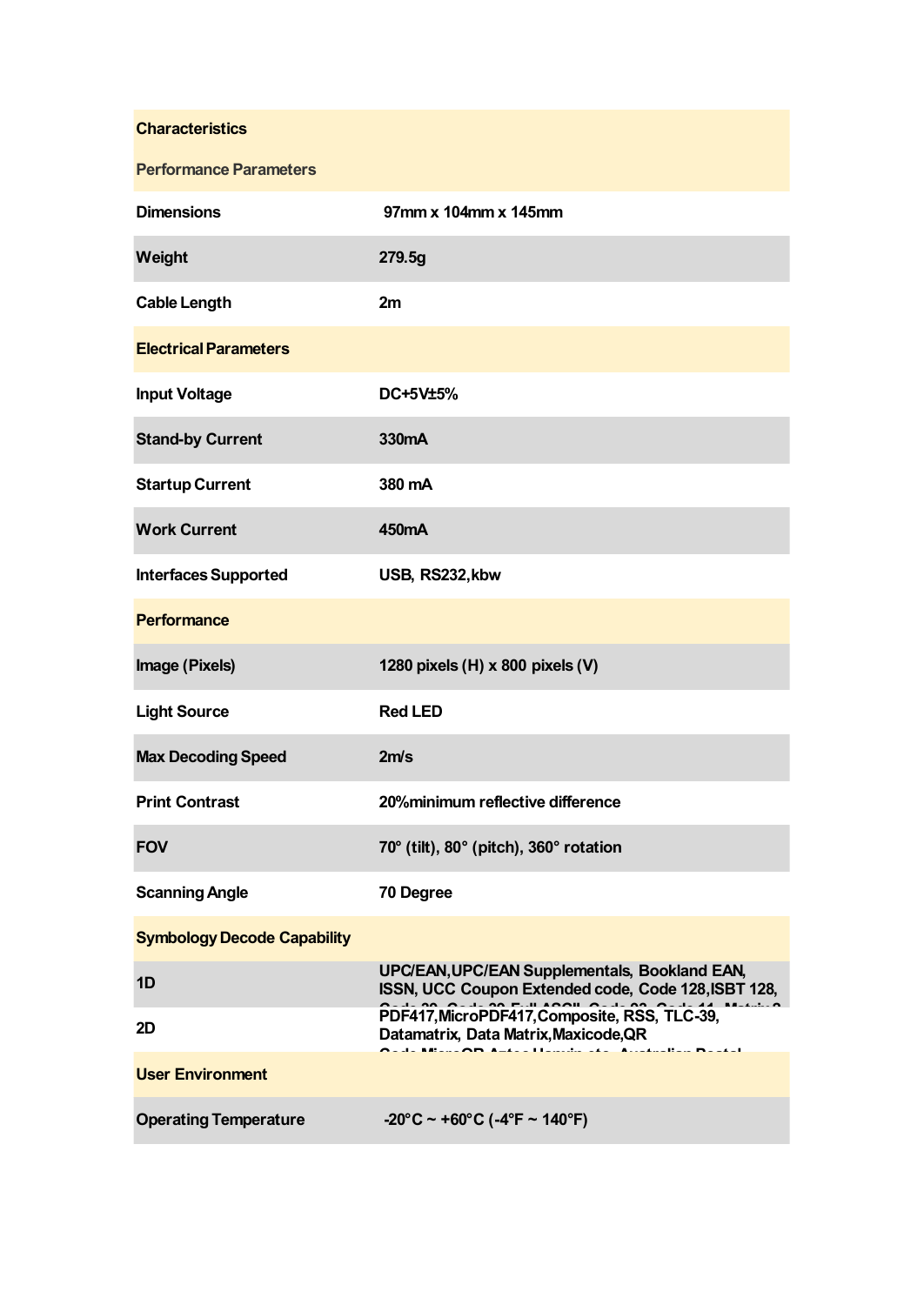| <b>Characteristics</b>             |                                                                                                      |
|------------------------------------|------------------------------------------------------------------------------------------------------|
| <b>Performance Parameters</b>      |                                                                                                      |
| <b>Dimensions</b>                  | 97mm x 104mm x 145mm                                                                                 |
| Weight                             | 279.5g                                                                                               |
| <b>Cable Length</b>                | 2m                                                                                                   |
| <b>Electrical Parameters</b>       |                                                                                                      |
| <b>Input Voltage</b>               | DC+5V±5%                                                                                             |
| <b>Stand-by Current</b>            | 330mA                                                                                                |
| <b>Startup Current</b>             | 380 mA                                                                                               |
| <b>Work Current</b>                | 450mA                                                                                                |
| <b>Interfaces Supported</b>        | USB, RS232, kbw                                                                                      |
| <b>Performance</b>                 |                                                                                                      |
| Image (Pixels)                     | 1280 pixels (H) x 800 pixels (V)                                                                     |
| <b>Light Source</b>                | <b>Red LED</b>                                                                                       |
| <b>Max Decoding Speed</b>          | 2m/s                                                                                                 |
| <b>Print Contrast</b>              | 20%minimum reflective difference                                                                     |
| <b>FOV</b>                         | 70° (tilt), 80° (pitch), 360° rotation                                                               |
| <b>Scanning Angle</b>              | 70 Degree                                                                                            |
| <b>Symbology Decode Capability</b> |                                                                                                      |
| 1D                                 | UPC/EAN, UPC/EAN Supplementals, Bookland EAN,<br>ISSN, UCC Coupon Extended code, Code 128, ISBT 128, |
| 2D                                 | PDF417, MicroPDF417, Composite, RSS, TLC-39,<br>Datamatrix, Data Matrix, Maxicode, QR                |
| <b>User Environment</b>            | .<br>J. Albana <b>Alb</b> Andrea I Ionishe ada - Accedealban Mandal                                  |
| <b>Operating Temperature</b>       | $-20^{\circ}$ C ~ +60°C (-4°F ~ 140°F)                                                               |